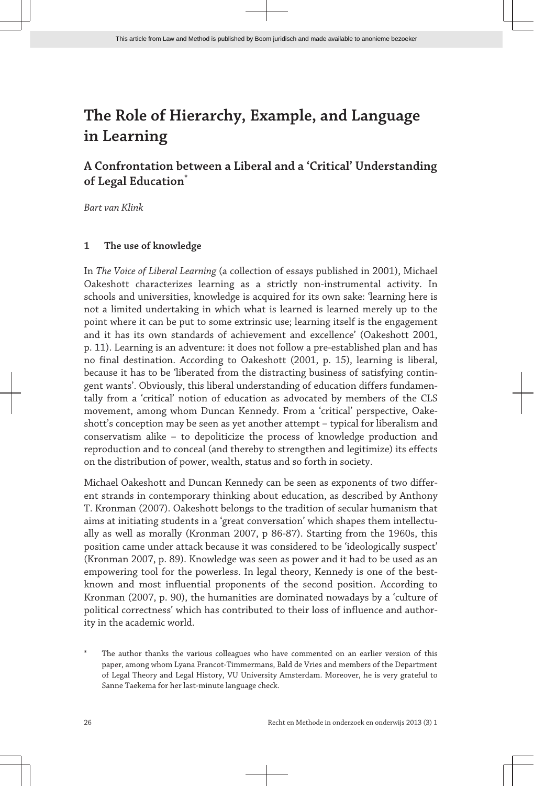# **A Confrontation between a Liberal and a 'Critical' Understanding of Legal Education\***

*Bart van Klink*

# **1 The use of knowledge**

In *The Voice of Liberal Learning* (a collection of essays published in 2001), Michael Oakeshott characterizes learning as a strictly non-instrumental activity. In schools and universities, knowledge is acquired for its own sake: 'learning here is not a limited undertaking in which what is learned is learned merely up to the point where it can be put to some extrinsic use; learning itself is the engagement and it has its own standards of achievement and excellence' (Oakeshott 2001, p. 11). Learning is an adventure: it does not follow a pre-established plan and has no final destination. According to Oakeshott (2001, p. 15), learning is liberal, because it has to be 'liberated from the distracting business of satisfying contin‐ gent wants'. Obviously, this liberal understanding of education differs fundamen‐ tally from a 'critical' notion of education as advocated by members of the CLS movement, among whom Duncan Kennedy. From a 'critical' perspective, Oake‐ shott's conception may be seen as yet another attempt – typical for liberalism and conservatism alike – to depoliticize the process of knowledge production and reproduction and to conceal (and thereby to strengthen and legitimize) its effects on the distribution of power, wealth, status and so forth in society.

Michael Oakeshott and Duncan Kennedy can be seen as exponents of two differ‐ ent strands in contemporary thinking about education, as described by Anthony T. Kronman (2007). Oakeshott belongs to the tradition of secular humanism that aims at initiating students in a 'great conversation' which shapes them intellectually as well as morally (Kronman 2007, p 86-87). Starting from the 1960s, this position came under attack because it was considered to be 'ideologically suspect' (Kronman 2007, p. 89). Knowledge was seen as power and it had to be used as an empowering tool for the powerless. In legal theory, Kennedy is one of the bestknown and most influential proponents of the second position. According to Kronman (2007, p. 90), the humanities are dominated nowadays by a 'culture of political correctness' which has contributed to their loss of influence and authority in the academic world.

The author thanks the various colleagues who have commented on an earlier version of this paper, among whom Lyana Francot-Timmermans, Bald de Vries and members of the Department of Legal Theory and Legal History, VU University Amsterdam. Moreover, he is very grateful to Sanne Taekema for her last-minute language check.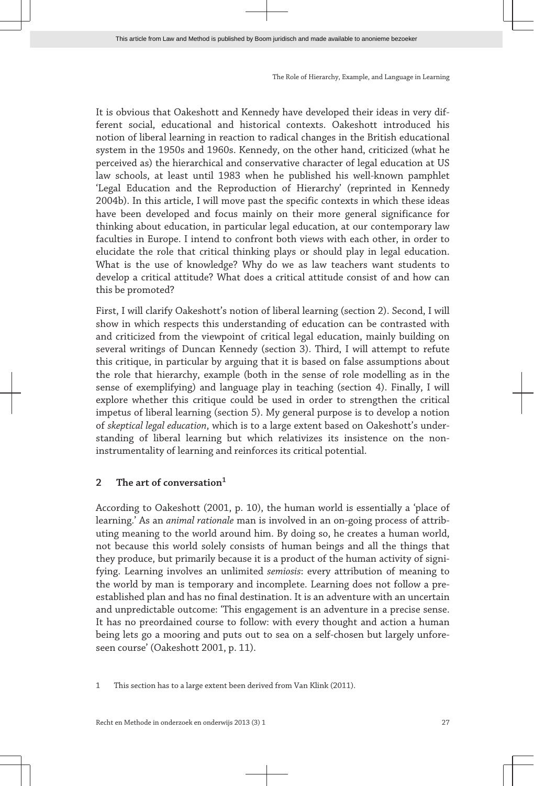It is obvious that Oakeshott and Kennedy have developed their ideas in very dif‐ ferent social, educational and historical contexts. Oakeshott introduced his notion of liberal learning in reaction to radical changes in the British educational system in the 1950s and 1960s. Kennedy, on the other hand, criticized (what he perceived as) the hierarchical and conservative character of legal education at US law schools, at least until 1983 when he published his well-known pamphlet 'Legal Education and the Reproduction of Hierarchy' (reprinted in Kennedy 2004b). In this article, I will move past the specific contexts in which these ideas have been developed and focus mainly on their more general significance for thinking about education, in particular legal education, at our contemporary law faculties in Europe. I intend to confront both views with each other, in order to elucidate the role that critical thinking plays or should play in legal education. What is the use of knowledge? Why do we as law teachers want students to develop a critical attitude? What does a critical attitude consist of and how can this be promoted?

First, I will clarify Oakeshott's notion of liberal learning (section 2). Second, I will show in which respects this understanding of education can be contrasted with and criticized from the viewpoint of critical legal education, mainly building on several writings of Duncan Kennedy (section 3). Third, I will attempt to refute this critique, in particular by arguing that it is based on false assumptions about the role that hierarchy, example (both in the sense of role modelling as in the sense of exemplifying) and language play in teaching (section 4). Finally, I will explore whether this critique could be used in order to strengthen the critical impetus of liberal learning (section 5). My general purpose is to develop a notion of *skeptical legal education*, which is to a large extent based on Oakeshott's under‐ standing of liberal learning but which relativizes its insistence on the noninstrumentality of learning and reinforces its critical potential.

# **2 The art of conversation<sup>1</sup>**

According to Oakeshott (2001, p. 10), the human world is essentially a 'place of learning.' As an *animal rationale* man is involved in an on-going process of attrib‐ uting meaning to the world around him. By doing so, he creates a human world, not because this world solely consists of human beings and all the things that they produce, but primarily because it is a product of the human activity of signifying. Learning involves an unlimited *semiosis*: every attribution of meaning to the world by man is temporary and incomplete. Learning does not follow a preestablished plan and has no final destination. It is an adventure with an uncertain and unpredictable outcome: 'This engagement is an adventure in a precise sense. It has no preordained course to follow: with every thought and action a human being lets go a mooring and puts out to sea on a self-chosen but largely unfore‐ seen course' (Oakeshott 2001, p. 11).

<sup>1</sup> This section has to a large extent been derived from Van Klink (2011).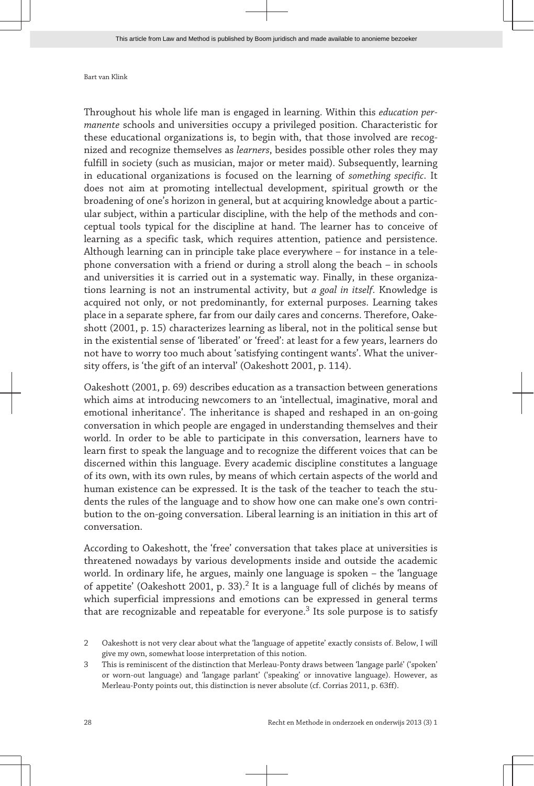Throughout his whole life man is engaged in learning. Within this *education per‐ manente* schools and universities occupy a privileged position. Characteristic for these educational organizations is, to begin with, that those involved are recog‐ nized and recognize themselves as *learners*, besides possible other roles they may fulfill in society (such as musician, major or meter maid). Subsequently, learning in educational organizations is focused on the learning of *something specific*. It does not aim at promoting intellectual development, spiritual growth or the broadening of one's horizon in general, but at acquiring knowledge about a partic‐ ular subject, within a particular discipline, with the help of the methods and conceptual tools typical for the discipline at hand. The learner has to conceive of learning as a specific task, which requires attention, patience and persistence. Although learning can in principle take place everywhere – for instance in a tele‐ phone conversation with a friend or during a stroll along the beach – in schools and universities it is carried out in a systematic way. Finally, in these organiza‐ tions learning is not an instrumental activity, but *a goal in itself*. Knowledge is acquired not only, or not predominantly, for external purposes. Learning takes place in a separate sphere, far from our daily cares and concerns. Therefore, Oake‐ shott (2001, p. 15) characterizes learning as liberal, not in the political sense but in the existential sense of 'liberated' or 'freed': at least for a few years, learners do not have to worry too much about 'satisfying contingent wants'. What the univer‐ sity offers, is 'the gift of an interval' (Oakeshott 2001, p. 114).

Oakeshott (2001, p. 69) describes education as a transaction between generations which aims at introducing newcomers to an 'intellectual, imaginative, moral and emotional inheritance'. The inheritance is shaped and reshaped in an on-going conversation in which people are engaged in understanding themselves and their world. In order to be able to participate in this conversation, learners have to learn first to speak the language and to recognize the different voices that can be discerned within this language. Every academic discipline constitutes a language of its own, with its own rules, by means of which certain aspects of the world and human existence can be expressed. It is the task of the teacher to teach the students the rules of the language and to show how one can make one's own contribution to the on-going conversation. Liberal learning is an initiation in this art of conversation.

According to Oakeshott, the 'free' conversation that takes place at universities is threatened nowadays by various developments inside and outside the academic world. In ordinary life, he argues, mainly one language is spoken – the 'language of appetite' (Oakeshott 2001, p. 33).<sup>2</sup> It is a language full of clichés by means of which superficial impressions and emotions can be expressed in general terms that are recognizable and repeatable for everyone.<sup>3</sup> Its sole purpose is to satisfy

<sup>2</sup> Oakeshott is not very clear about what the 'language of appetite' exactly consists of. Below, I will give my own, somewhat loose interpretation of this notion.

<sup>3</sup> This is reminiscent of the distinction that Merleau-Ponty draws between 'langage parlé' ('spoken' or worn-out language) and 'langage parlant' ('speaking' or innovative language). However, as Merleau-Ponty points out, this distinction is never absolute (cf. Corrias 2011, p. 63ff).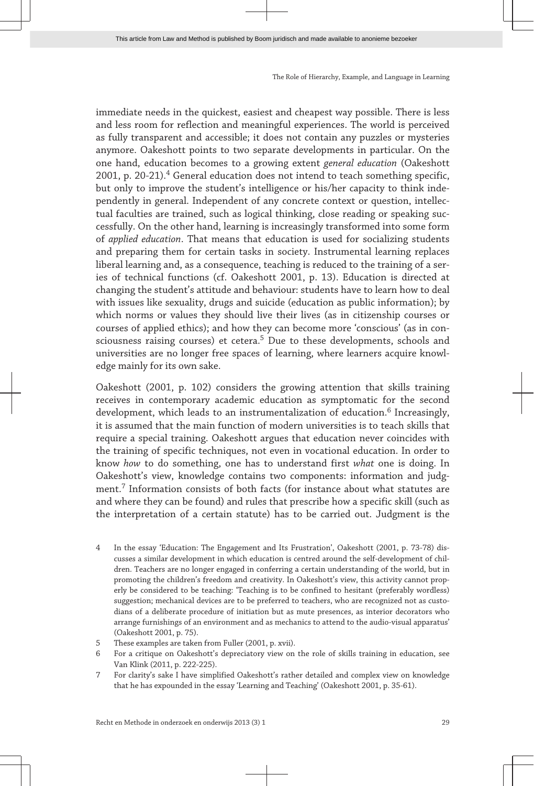immediate needs in the quickest, easiest and cheapest way possible. There is less and less room for reflection and meaningful experiences. The world is perceived as fully transparent and accessible; it does not contain any puzzles or mysteries anymore. Oakeshott points to two separate developments in particular. On the one hand, education becomes to a growing extent *general education* (Oakeshott 2001, p. 20-21).<sup>4</sup> General education does not intend to teach something specific, but only to improve the student's intelligence or his/her capacity to think inde‐ pendently in general. Independent of any concrete context or question, intellec‐ tual faculties are trained, such as logical thinking, close reading or speaking suc‐ cessfully. On the other hand, learning is increasingly transformed into some form of *applied education*. That means that education is used for socializing students and preparing them for certain tasks in society. Instrumental learning replaces liberal learning and, as a consequence, teaching is reduced to the training of a series of technical functions (cf. Oakeshott 2001, p. 13). Education is directed at changing the student's attitude and behaviour: students have to learn how to deal with issues like sexuality, drugs and suicide (education as public information); by which norms or values they should live their lives (as in citizenship courses or courses of applied ethics); and how they can become more 'conscious' (as in con‐ sciousness raising courses) et cetera.<sup>5</sup> Due to these developments, schools and universities are no longer free spaces of learning, where learners acquire knowledge mainly for its own sake.

Oakeshott (2001, p. 102) considers the growing attention that skills training receives in contemporary academic education as symptomatic for the second development, which leads to an instrumentalization of education. $^6$  Increasingly, it is assumed that the main function of modern universities is to teach skills that require a special training. Oakeshott argues that education never coincides with the training of specific techniques, not even in vocational education. In order to know *how* to do something, one has to understand first *what* one is doing. In Oakeshott's view, knowledge contains two components: information and judgment.<sup>7</sup> Information consists of both facts (for instance about what statutes are and where they can be found) and rules that prescribe how a specific skill (such as the interpretation of a certain statute) has to be carried out. Judgment is the

- 4 In the essay 'Education: The Engagement and Its Frustration', Oakeshott (2001, p. 73-78) dis‐ cusses a similar development in which education is centred around the self-development of chil‐ dren. Teachers are no longer engaged in conferring a certain understanding of the world, but in promoting the children's freedom and creativity. In Oakeshott's view, this activity cannot properly be considered to be teaching: 'Teaching is to be confined to hesitant (preferably wordless) suggestion; mechanical devices are to be preferred to teachers, who are recognized not as custodians of a deliberate procedure of initiation but as mute presences, as interior decorators who arrange furnishings of an environment and as mechanics to attend to the audio-visual apparatus' (Oakeshott 2001, p. 75).
- 5 These examples are taken from Fuller (2001, p. xvii).
- 6 For a critique on Oakeshott's depreciatory view on the role of skills training in education, see Van Klink (2011, p. 222-225).
- 7 For clarity's sake I have simplified Oakeshott's rather detailed and complex view on knowledge that he has expounded in the essay 'Learning and Teaching' (Oakeshott 2001, p. 35-61).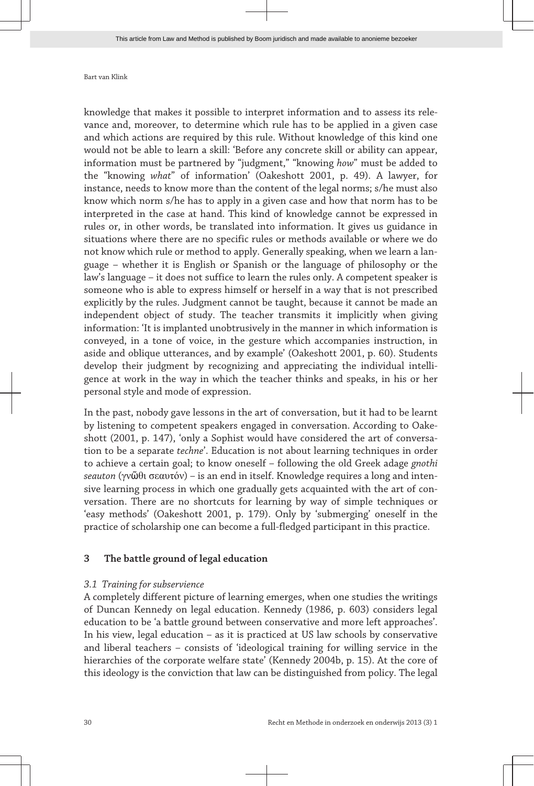knowledge that makes it possible to interpret information and to assess its rele‐ vance and, moreover, to determine which rule has to be applied in a given case and which actions are required by this rule. Without knowledge of this kind one would not be able to learn a skill: 'Before any concrete skill or ability can appear, information must be partnered by "judgment," "knowing *how*" must be added to the "knowing *what*" of information' (Oakeshott 2001, p. 49). A lawyer, for instance, needs to know more than the content of the legal norms; s/he must also know which norm s/he has to apply in a given case and how that norm has to be interpreted in the case at hand. This kind of knowledge cannot be expressed in rules or, in other words, be translated into information. It gives us guidance in situations where there are no specific rules or methods available or where we do not know which rule or method to apply. Generally speaking, when we learn a lan‐ guage – whether it is English or Spanish or the language of philosophy or the law's language – it does not suffice to learn the rules only. A competent speaker is someone who is able to express himself or herself in a way that is not prescribed explicitly by the rules. Judgment cannot be taught, because it cannot be made an independent object of study. The teacher transmits it implicitly when giving information: 'It is implanted unobtrusively in the manner in which information is conveyed, in a tone of voice, in the gesture which accompanies instruction, in aside and oblique utterances, and by example' (Oakeshott 2001, p. 60). Students develop their judgment by recognizing and appreciating the individual intelligence at work in the way in which the teacher thinks and speaks, in his or her personal style and mode of expression.

In the past, nobody gave lessons in the art of conversation, but it had to be learnt by listening to competent speakers engaged in conversation. According to Oake‐ shott (2001, p. 147), 'only a Sophist would have considered the art of conversation to be a separate *techne*'. Education is not about learning techniques in order to achieve a certain goal; to know oneself – following the old Greek adage *gnothi seauton* (γνῶθι σεαυτόν) – is an end in itself. Knowledge requires a long and inten‐ sive learning process in which one gradually gets acquainted with the art of conversation. There are no shortcuts for learning by way of simple techniques or 'easy methods' (Oakeshott 2001, p. 179). Only by 'submerging' oneself in the practice of scholarship one can become a full-fledged participant in this practice.

# **3 The battle ground of legal education**

# *3.1 Training for subservience*

A completely different picture of learning emerges, when one studies the writings of Duncan Kennedy on legal education. Kennedy (1986, p. 603) considers legal education to be 'a battle ground between conservative and more left approaches'. In his view, legal education – as it is practiced at US law schools by conservative and liberal teachers – consists of 'ideological training for willing service in the hierarchies of the corporate welfare state' (Kennedy 2004b, p. 15). At the core of this ideology is the conviction that law can be distinguished from policy. The legal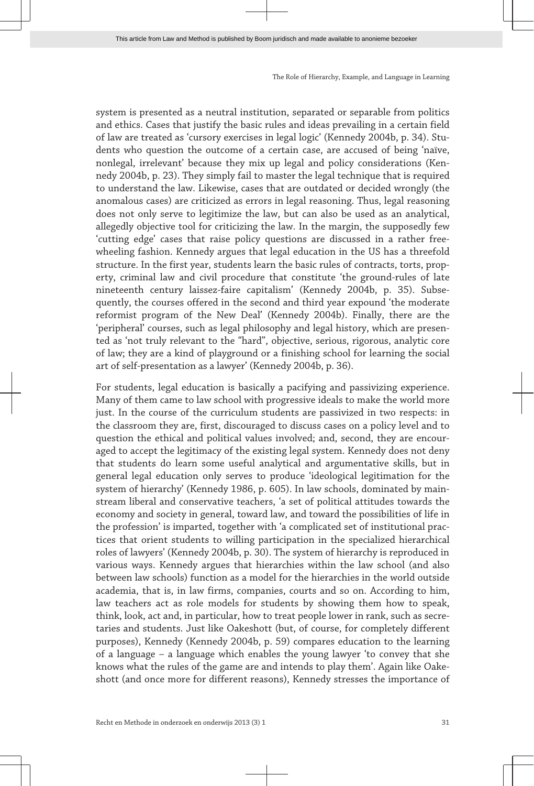system is presented as a neutral institution, separated or separable from politics and ethics. Cases that justify the basic rules and ideas prevailing in a certain field of law are treated as 'cursory exercises in legal logic' (Kennedy 2004b, p. 34). Stu‐ dents who question the outcome of a certain case, are accused of being 'naïve, nonlegal, irrelevant' because they mix up legal and policy considerations (Ken‐ nedy 2004b, p. 23). They simply fail to master the legal technique that is required to understand the law. Likewise, cases that are outdated or decided wrongly (the anomalous cases) are criticized as errors in legal reasoning. Thus, legal reasoning does not only serve to legitimize the law, but can also be used as an analytical, allegedly objective tool for criticizing the law. In the margin, the supposedly few 'cutting edge' cases that raise policy questions are discussed in a rather freewheeling fashion. Kennedy argues that legal education in the US has a threefold structure. In the first year, students learn the basic rules of contracts, torts, prop‐ erty, criminal law and civil procedure that constitute 'the ground-rules of late nineteenth century laissez-faire capitalism' (Kennedy 2004b, p. 35). Subse‐ quently, the courses offered in the second and third year expound 'the moderate reformist program of the New Deal' (Kennedy 2004b). Finally, there are the 'peripheral' courses, such as legal philosophy and legal history, which are presen‐ ted as 'not truly relevant to the "hard", objective, serious, rigorous, analytic core of law; they are a kind of playground or a finishing school for learning the social art of self-presentation as a lawyer' (Kennedy 2004b, p. 36).

For students, legal education is basically a pacifying and passivizing experience. Many of them came to law school with progressive ideals to make the world more just. In the course of the curriculum students are passivized in two respects: in the classroom they are, first, discouraged to discuss cases on a policy level and to question the ethical and political values involved; and, second, they are encouraged to accept the legitimacy of the existing legal system. Kennedy does not deny that students do learn some useful analytical and argumentative skills, but in general legal education only serves to produce 'ideological legitimation for the system of hierarchy' (Kennedy 1986, p. 605). In law schools, dominated by mainstream liberal and conservative teachers, 'a set of political attitudes towards the economy and society in general, toward law, and toward the possibilities of life in the profession' is imparted, together with 'a complicated set of institutional prac‐ tices that orient students to willing participation in the specialized hierarchical roles of lawyers' (Kennedy 2004b, p. 30). The system of hierarchy is reproduced in various ways. Kennedy argues that hierarchies within the law school (and also between law schools) function as a model for the hierarchies in the world outside academia, that is, in law firms, companies, courts and so on. According to him, law teachers act as role models for students by showing them how to speak, think, look, act and, in particular, how to treat people lower in rank, such as secre‐ taries and students. Just like Oakeshott (but, of course, for completely different purposes), Kennedy (Kennedy 2004b, p. 59) compares education to the learning of a language – a language which enables the young lawyer 'to convey that she knows what the rules of the game are and intends to play them'. Again like Oake‐ shott (and once more for different reasons), Kennedy stresses the importance of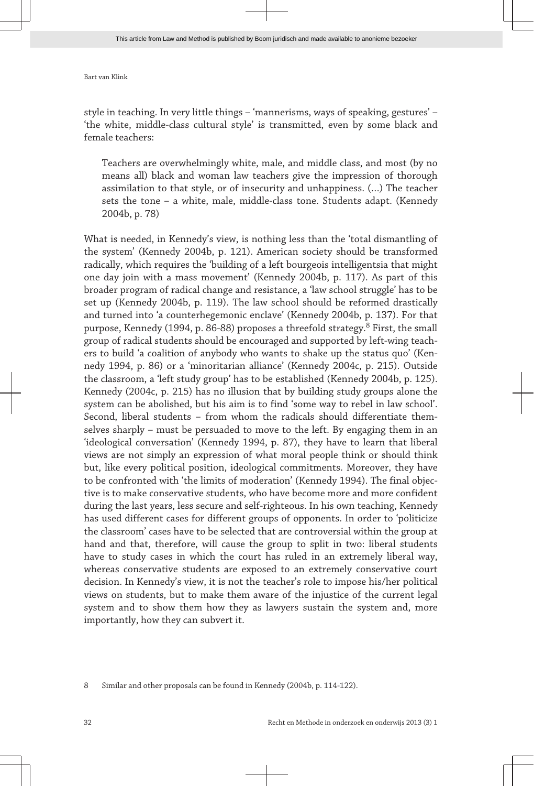style in teaching. In very little things – 'mannerisms, ways of speaking, gestures' – 'the white, middle-class cultural style' is transmitted, even by some black and female teachers:

Teachers are overwhelmingly white, male, and middle class, and most (by no means all) black and woman law teachers give the impression of thorough assimilation to that style, or of insecurity and unhappiness. (…) The teacher sets the tone – a white, male, middle-class tone. Students adapt. (Kennedy 2004b, p. 78)

What is needed, in Kennedy's view, is nothing less than the 'total dismantling of the system' (Kennedy 2004b, p. 121). American society should be transformed radically, which requires the 'building of a left bourgeois intelligentsia that might one day join with a mass movement' (Kennedy 2004b, p. 117). As part of this broader program of radical change and resistance, a 'law school struggle' has to be set up (Kennedy 2004b, p. 119). The law school should be reformed drastically and turned into 'a counterhegemonic enclave' (Kennedy 2004b, p. 137). For that purpose, Kennedy (1994, p. 86-88) proposes a threefold strategy.<sup>8</sup> First, the small group of radical students should be encouraged and supported by left-wing teach‐ ers to build 'a coalition of anybody who wants to shake up the status quo' (Ken‐ nedy 1994, p. 86) or a 'minoritarian alliance' (Kennedy 2004c, p. 215). Outside the classroom, a 'left study group' has to be established (Kennedy 2004b, p. 125). Kennedy (2004c, p. 215) has no illusion that by building study groups alone the system can be abolished, but his aim is to find 'some way to rebel in law school'. Second, liberal students – from whom the radicals should differentiate themselves sharply – must be persuaded to move to the left. By engaging them in an 'ideological conversation' (Kennedy 1994, p. 87), they have to learn that liberal views are not simply an expression of what moral people think or should think but, like every political position, ideological commitments. Moreover, they have to be confronted with 'the limits of moderation' (Kennedy 1994). The final objec‐ tive is to make conservative students, who have become more and more confident during the last years, less secure and self-righteous. In his own teaching, Kennedy has used different cases for different groups of opponents. In order to 'politicize the classroom' cases have to be selected that are controversial within the group at hand and that, therefore, will cause the group to split in two: liberal students have to study cases in which the court has ruled in an extremely liberal way, whereas conservative students are exposed to an extremely conservative court decision. In Kennedy's view, it is not the teacher's role to impose his/her political views on students, but to make them aware of the injustice of the current legal system and to show them how they as lawyers sustain the system and, more importantly, how they can subvert it.

<sup>8</sup> Similar and other proposals can be found in Kennedy (2004b, p. 114-122).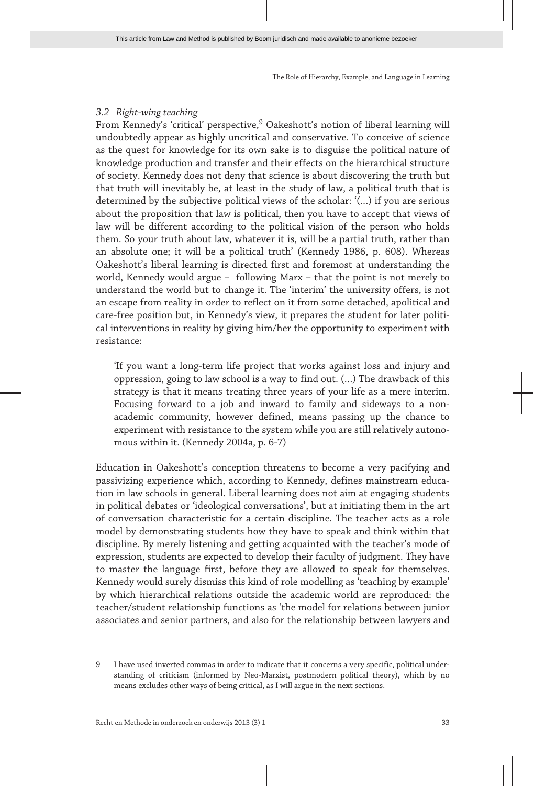# *3.2 Right-wing teaching*

From Kennedy's 'critical' perspective,<sup>9</sup> Oakeshott's notion of liberal learning will undoubtedly appear as highly uncritical and conservative. To conceive of science as the quest for knowledge for its own sake is to disguise the political nature of knowledge production and transfer and their effects on the hierarchical structure of society. Kennedy does not deny that science is about discovering the truth but that truth will inevitably be, at least in the study of law, a political truth that is determined by the subjective political views of the scholar: '(…) if you are serious about the proposition that law is political, then you have to accept that views of law will be different according to the political vision of the person who holds them. So your truth about law, whatever it is, will be a partial truth, rather than an absolute one; it will be a political truth' (Kennedy 1986, p. 608). Whereas Oakeshott's liberal learning is directed first and foremost at understanding the world, Kennedy would argue – following Marx – that the point is not merely to understand the world but to change it. The 'interim' the university offers, is not an escape from reality in order to reflect on it from some detached, apolitical and care-free position but, in Kennedy's view, it prepares the student for later political interventions in reality by giving him/her the opportunity to experiment with resistance:

'If you want a long-term life project that works against loss and injury and oppression, going to law school is a way to find out. (…) The drawback of this strategy is that it means treating three years of your life as a mere interim. Focusing forward to a job and inward to family and sideways to a nonacademic community, however defined, means passing up the chance to experiment with resistance to the system while you are still relatively autonomous within it. (Kennedy 2004a, p. 6-7)

Education in Oakeshott's conception threatens to become a very pacifying and passivizing experience which, according to Kennedy, defines mainstream educa‐ tion in law schools in general. Liberal learning does not aim at engaging students in political debates or 'ideological conversations', but at initiating them in the art of conversation characteristic for a certain discipline. The teacher acts as a role model by demonstrating students how they have to speak and think within that discipline. By merely listening and getting acquainted with the teacher's mode of expression, students are expected to develop their faculty of judgment. They have to master the language first, before they are allowed to speak for themselves. Kennedy would surely dismiss this kind of role modelling as 'teaching by example' by which hierarchical relations outside the academic world are reproduced: the teacher/student relationship functions as 'the model for relations between junior associates and senior partners, and also for the relationship between lawyers and

<sup>9</sup> I have used inverted commas in order to indicate that it concerns a very specific, political understanding of criticism (informed by Neo-Marxist, postmodern political theory), which by no means excludes other ways of being critical, as I will argue in the next sections.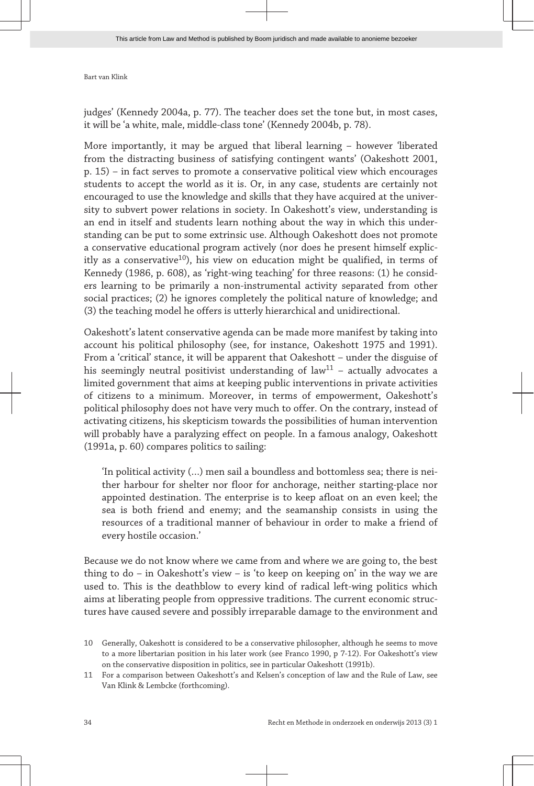judges' (Kennedy 2004a, p. 77). The teacher does set the tone but, in most cases, it will be 'a white, male, middle-class tone' (Kennedy 2004b, p. 78).

More importantly, it may be argued that liberal learning – however 'liberated from the distracting business of satisfying contingent wants' (Oakeshott 2001, p. 15) – in fact serves to promote a conservative political view which encourages students to accept the world as it is. Or, in any case, students are certainly not encouraged to use the knowledge and skills that they have acquired at the univer‐ sity to subvert power relations in society. In Oakeshott's view, understanding is an end in itself and students learn nothing about the way in which this under‐ standing can be put to some extrinsic use. Although Oakeshott does not promote a conservative educational program actively (nor does he present himself explic‐ itly as a conservative<sup>10</sup>), his view on education might be qualified, in terms of Kennedy (1986, p. 608), as 'right-wing teaching' for three reasons: (1) he consid‐ ers learning to be primarily a non-instrumental activity separated from other social practices; (2) he ignores completely the political nature of knowledge; and (3) the teaching model he offers is utterly hierarchical and unidirectional.

Oakeshott's latent conservative agenda can be made more manifest by taking into account his political philosophy (see, for instance, Oakeshott 1975 and 1991). From a 'critical' stance, it will be apparent that Oakeshott – under the disguise of his seemingly neutral positivist understanding of law<sup>11</sup> – actually advocates a limited government that aims at keeping public interventions in private activities of citizens to a minimum. Moreover, in terms of empowerment, Oakeshott's political philosophy does not have very much to offer. On the contrary, instead of activating citizens, his skepticism towards the possibilities of human intervention will probably have a paralyzing effect on people. In a famous analogy, Oakeshott (1991a, p. 60) compares politics to sailing:

'In political activity (…) men sail a boundless and bottomless sea; there is nei‐ ther harbour for shelter nor floor for anchorage, neither starting-place nor appointed destination. The enterprise is to keep afloat on an even keel; the sea is both friend and enemy; and the seamanship consists in using the resources of a traditional manner of behaviour in order to make a friend of every hostile occasion.'

Because we do not know where we came from and where we are going to, the best thing to  $do - in$  Oakeshott's view – is 'to keep on keeping on' in the way we are used to. This is the deathblow to every kind of radical left-wing politics which aims at liberating people from oppressive traditions. The current economic struc‐ tures have caused severe and possibly irreparable damage to the environment and

<sup>10</sup> Generally, Oakeshott is considered to be a conservative philosopher, although he seems to move to a more libertarian position in his later work (see Franco 1990, p 7-12). For Oakeshott's view on the conservative disposition in politics, see in particular Oakeshott (1991b).

<sup>11</sup> For a comparison between Oakeshott's and Kelsen's conception of law and the Rule of Law, see Van Klink & Lembcke (forthcoming).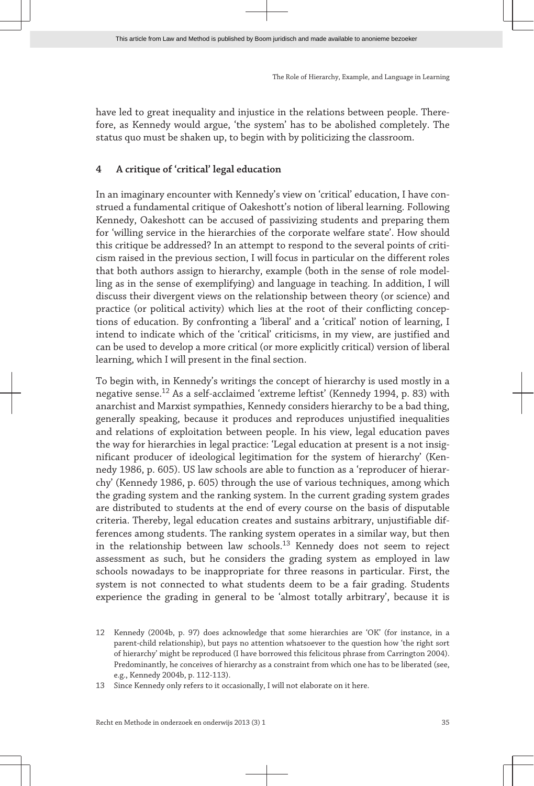have led to great inequality and injustice in the relations between people. Therefore, as Kennedy would argue, 'the system' has to be abolished completely. The status quo must be shaken up, to begin with by politicizing the classroom.

# **4 A critique of 'critical' legal education**

In an imaginary encounter with Kennedy's view on 'critical' education, I have construed a fundamental critique of Oakeshott's notion of liberal learning. Following Kennedy, Oakeshott can be accused of passivizing students and preparing them for 'willing service in the hierarchies of the corporate welfare state'. How should this critique be addressed? In an attempt to respond to the several points of criticism raised in the previous section, I will focus in particular on the different roles that both authors assign to hierarchy, example (both in the sense of role model‐ ling as in the sense of exemplifying) and language in teaching. In addition, I will discuss their divergent views on the relationship between theory (or science) and practice (or political activity) which lies at the root of their conflicting conceptions of education. By confronting a 'liberal' and a 'critical' notion of learning, I intend to indicate which of the 'critical' criticisms, in my view, are justified and can be used to develop a more critical (or more explicitly critical) version of liberal learning, which I will present in the final section.

To begin with, in Kennedy's writings the concept of hierarchy is used mostly in a negative sense.<sup>12</sup> As a self-acclaimed 'extreme leftist' (Kennedy 1994, p. 83) with anarchist and Marxist sympathies, Kennedy considers hierarchy to be a bad thing, generally speaking, because it produces and reproduces unjustified inequalities and relations of exploitation between people. In his view, legal education paves the way for hierarchies in legal practice: 'Legal education at present is a not insig‐ nificant producer of ideological legitimation for the system of hierarchy' (Ken‐ nedy 1986, p. 605). US law schools are able to function as a 'reproducer of hierar‐ chy' (Kennedy 1986, p. 605) through the use of various techniques, among which the grading system and the ranking system. In the current grading system grades are distributed to students at the end of every course on the basis of disputable criteria. Thereby, legal education creates and sustains arbitrary, unjustifiable dif‐ ferences among students. The ranking system operates in a similar way, but then in the relationship between law schools.<sup>13</sup> Kennedy does not seem to reject assessment as such, but he considers the grading system as employed in law schools nowadays to be inappropriate for three reasons in particular. First, the system is not connected to what students deem to be a fair grading. Students experience the grading in general to be 'almost totally arbitrary', because it is

<sup>12</sup> Kennedy (2004b, p. 97) does acknowledge that some hierarchies are 'OK' (for instance, in a parent-child relationship), but pays no attention whatsoever to the question how 'the right sort of hierarchy' might be reproduced (I have borrowed this felicitous phrase from Carrington 2004). Predominantly, he conceives of hierarchy as a constraint from which one has to be liberated (see, e.g., Kennedy 2004b, p. 112-113).

<sup>13</sup> Since Kennedy only refers to it occasionally, I will not elaborate on it here.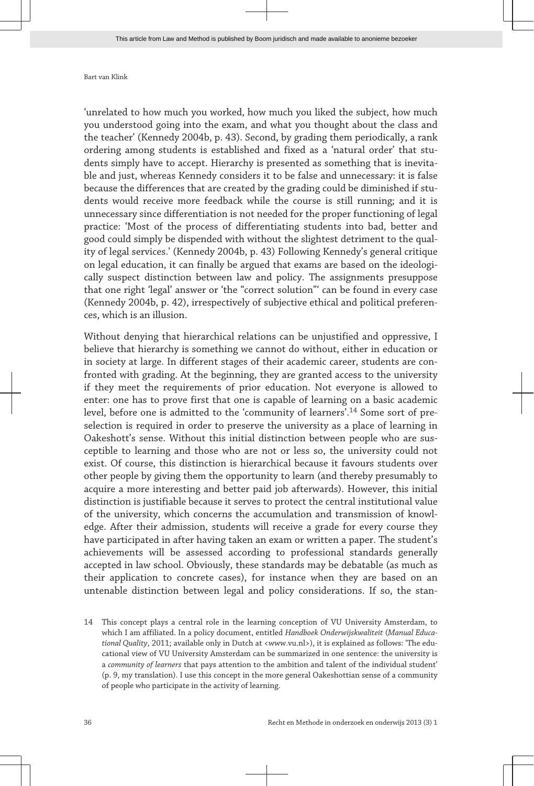'unrelated to how much you worked, how much you liked the subject, how much you understood going into the exam, and what you thought about the class and the teacher' (Kennedy 2004b, p. 43). Second, by grading them periodically, a rank ordering among students is established and fixed as a 'natural order' that stu‐ dents simply have to accept. Hierarchy is presented as something that is inevitable and just, whereas Kennedy considers it to be false and unnecessary: it is false because the differences that are created by the grading could be diminished if students would receive more feedback while the course is still running; and it is unnecessary since differentiation is not needed for the proper functioning of legal practice: 'Most of the process of differentiating students into bad, better and good could simply be dispended with without the slightest detriment to the quality of legal services.' (Kennedy 2004b, p. 43) Following Kennedy's general critique on legal education, it can finally be argued that exams are based on the ideologically suspect distinction between law and policy. The assignments presuppose that one right 'legal' answer or 'the "correct solution"' can be found in every case (Kennedy 2004b, p. 42), irrespectively of subjective ethical and political preferen‐ ces, which is an illusion.

Without denying that hierarchical relations can be unjustified and oppressive, I believe that hierarchy is something we cannot do without, either in education or in society at large. In different stages of their academic career, students are confronted with grading. At the beginning, they are granted access to the university if they meet the requirements of prior education. Not everyone is allowed to enter: one has to prove first that one is capable of learning on a basic academic level, before one is admitted to the 'community of learners'.<sup>14</sup> Some sort of preselection is required in order to preserve the university as a place of learning in Oakeshott's sense. Without this initial distinction between people who are susceptible to learning and those who are not or less so, the university could not exist. Of course, this distinction is hierarchical because it favours students over other people by giving them the opportunity to learn (and thereby presumably to acquire a more interesting and better paid job afterwards). However, this initial distinction is justifiable because it serves to protect the central institutional value of the university, which concerns the accumulation and transmission of knowl‐ edge. After their admission, students will receive a grade for every course they have participated in after having taken an exam or written a paper. The student's achievements will be assessed according to professional standards generally accepted in law school. Obviously, these standards may be debatable (as much as their application to concrete cases), for instance when they are based on an untenable distinction between legal and policy considerations. If so, the stan‐

14 This concept plays a central role in the learning conception of VU University Amsterdam, to which I am affiliated. In a policy document, entitled *Handboek Onderwijskwaliteit* (*Manual Educa‐ tional Quality*, 2011; available only in Dutch at <www.vu.nl>), it is explained as follows: 'The edu‐ cational view of VU University Amsterdam can be summarized in one sentence: the university is a *community of learners* that pays attention to the ambition and talent of the individual student' (p. 9, my translation). I use this concept in the more general Oakeshottian sense of a community of people who participate in the activity of learning.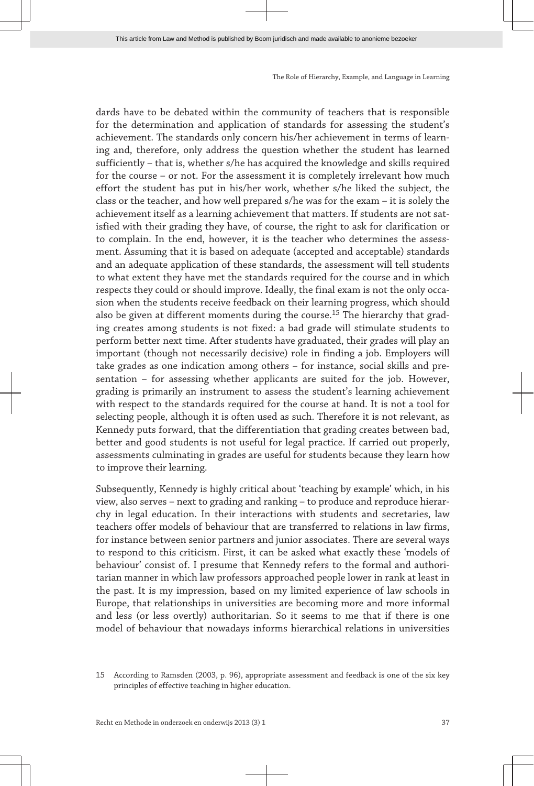dards have to be debated within the community of teachers that is responsible for the determination and application of standards for assessing the student's achievement. The standards only concern his/her achievement in terms of learning and, therefore, only address the question whether the student has learned sufficiently – that is, whether s/he has acquired the knowledge and skills required for the course – or not. For the assessment it is completely irrelevant how much effort the student has put in his/her work, whether s/he liked the subject, the class or the teacher, and how well prepared s/he was for the exam – it is solely the achievement itself as a learning achievement that matters. If students are not satisfied with their grading they have, of course, the right to ask for clarification or to complain. In the end, however, it is the teacher who determines the assessment. Assuming that it is based on adequate (accepted and acceptable) standards and an adequate application of these standards, the assessment will tell students to what extent they have met the standards required for the course and in which respects they could or should improve. Ideally, the final exam is not the only occasion when the students receive feedback on their learning progress, which should also be given at different moments during the course.<sup>15</sup> The hierarchy that grading creates among students is not fixed: a bad grade will stimulate students to perform better next time. After students have graduated, their grades will play an important (though not necessarily decisive) role in finding a job. Employers will take grades as one indication among others – for instance, social skills and pre‐ sentation – for assessing whether applicants are suited for the job. However, grading is primarily an instrument to assess the student's learning achievement with respect to the standards required for the course at hand. It is not a tool for selecting people, although it is often used as such. Therefore it is not relevant, as Kennedy puts forward, that the differentiation that grading creates between bad, better and good students is not useful for legal practice. If carried out properly, assessments culminating in grades are useful for students because they learn how to improve their learning.

Subsequently, Kennedy is highly critical about 'teaching by example' which, in his view, also serves – next to grading and ranking – to produce and reproduce hierar‐ chy in legal education. In their interactions with students and secretaries, law teachers offer models of behaviour that are transferred to relations in law firms, for instance between senior partners and junior associates. There are several ways to respond to this criticism. First, it can be asked what exactly these 'models of behaviour' consist of. I presume that Kennedy refers to the formal and authoritarian manner in which law professors approached people lower in rank at least in the past. It is my impression, based on my limited experience of law schools in Europe, that relationships in universities are becoming more and more informal and less (or less overtly) authoritarian. So it seems to me that if there is one model of behaviour that nowadays informs hierarchical relations in universities

<sup>15</sup> According to Ramsden (2003, p. 96), appropriate assessment and feedback is one of the six key principles of effective teaching in higher education.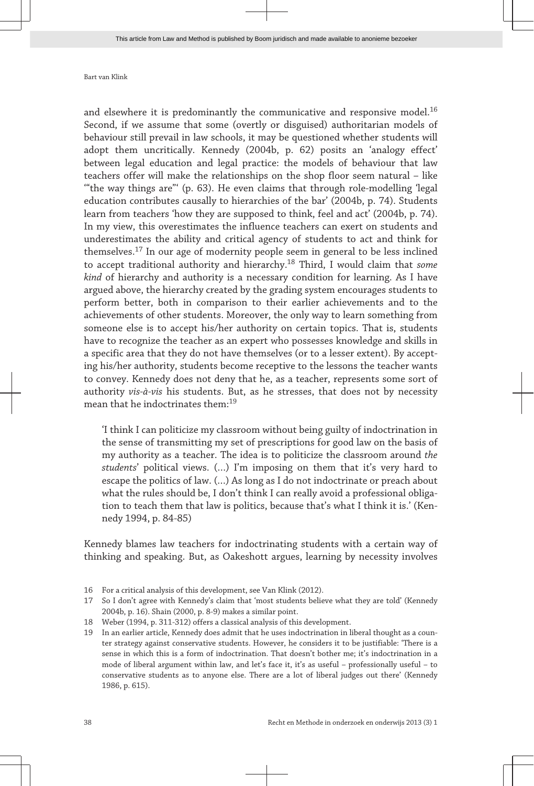and elsewhere it is predominantly the communicative and responsive model.<sup>16</sup> Second, if we assume that some (overtly or disguised) authoritarian models of behaviour still prevail in law schools, it may be questioned whether students will adopt them uncritically. Kennedy (2004b, p. 62) posits an 'analogy effect' between legal education and legal practice: the models of behaviour that law teachers offer will make the relationships on the shop floor seem natural – like '"the way things are"' (p. 63). He even claims that through role-modelling 'legal education contributes causally to hierarchies of the bar' (2004b, p. 74). Students learn from teachers 'how they are supposed to think, feel and act' (2004b, p. 74). In my view, this overestimates the influence teachers can exert on students and underestimates the ability and critical agency of students to act and think for themselves.<sup>17</sup> In our age of modernity people seem in general to be less inclined to accept traditional authority and hierarchy.<sup>18</sup> Third, I would claim that *some kind* of hierarchy and authority is a necessary condition for learning. As I have argued above, the hierarchy created by the grading system encourages students to perform better, both in comparison to their earlier achievements and to the achievements of other students. Moreover, the only way to learn something from someone else is to accept his/her authority on certain topics. That is, students have to recognize the teacher as an expert who possesses knowledge and skills in a specific area that they do not have themselves (or to a lesser extent). By accept‐ ing his/her authority, students become receptive to the lessons the teacher wants to convey. Kennedy does not deny that he, as a teacher, represents some sort of authority *vis-à-vis* his students. But, as he stresses, that does not by necessity mean that he indoctrinates them:<sup>19</sup>

'I think I can politicize my classroom without being guilty of indoctrination in the sense of transmitting my set of prescriptions for good law on the basis of my authority as a teacher. The idea is to politicize the classroom around *the students*' political views. (…) I'm imposing on them that it's very hard to escape the politics of law. (…) As long as I do not indoctrinate or preach about what the rules should be, I don't think I can really avoid a professional obligation to teach them that law is politics, because that's what I think it is.' (Kennedy 1994, p. 84-85)

Kennedy blames law teachers for indoctrinating students with a certain way of thinking and speaking. But, as Oakeshott argues, learning by necessity involves

16 For a critical analysis of this development, see Van Klink (2012).

- 18 Weber (1994, p. 311-312) offers a classical analysis of this development.
- 19 In an earlier article, Kennedy does admit that he uses indoctrination in liberal thought as a coun‐ ter strategy against conservative students. However, he considers it to be justifiable: 'There is a sense in which this is a form of indoctrination. That doesn't bother me; it's indoctrination in a mode of liberal argument within law, and let's face it, it's as useful – professionally useful – to conservative students as to anyone else. There are a lot of liberal judges out there' (Kennedy 1986, p. 615).

<sup>17</sup> So I don't agree with Kennedy's claim that 'most students believe what they are told' (Kennedy 2004b, p. 16). Shain (2000, p. 8-9) makes a similar point.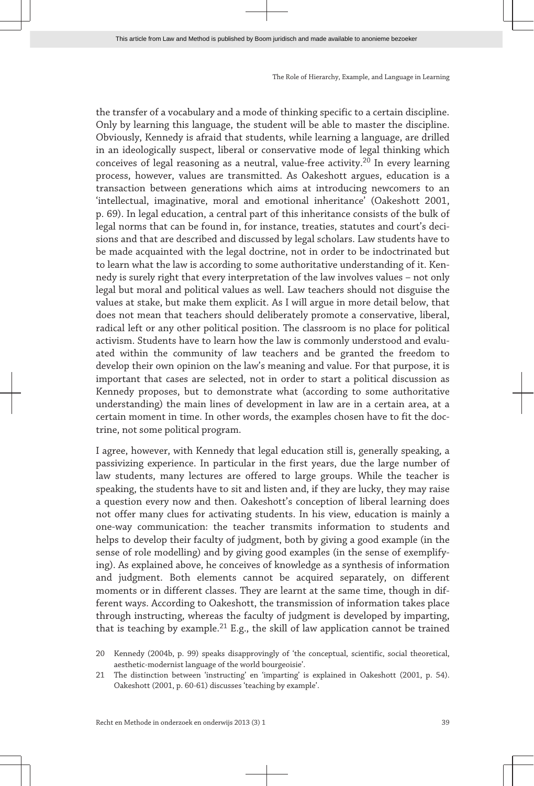the transfer of a vocabulary and a mode of thinking specific to a certain discipline. Only by learning this language, the student will be able to master the discipline. Obviously, Kennedy is afraid that students, while learning a language, are drilled in an ideologically suspect, liberal or conservative mode of legal thinking which conceives of legal reasoning as a neutral, value-free activity.<sup>20</sup> In every learning process, however, values are transmitted. As Oakeshott argues, education is a transaction between generations which aims at introducing newcomers to an 'intellectual, imaginative, moral and emotional inheritance' (Oakeshott 2001, p. 69). In legal education, a central part of this inheritance consists of the bulk of legal norms that can be found in, for instance, treaties, statutes and court's decisions and that are described and discussed by legal scholars. Law students have to be made acquainted with the legal doctrine, not in order to be indoctrinated but to learn what the law is according to some authoritative understanding of it. Kennedy is surely right that every interpretation of the law involves values – not only legal but moral and political values as well. Law teachers should not disguise the values at stake, but make them explicit. As I will argue in more detail below, that does not mean that teachers should deliberately promote a conservative, liberal, radical left or any other political position. The classroom is no place for political activism. Students have to learn how the law is commonly understood and evalu‐ ated within the community of law teachers and be granted the freedom to develop their own opinion on the law's meaning and value. For that purpose, it is important that cases are selected, not in order to start a political discussion as Kennedy proposes, but to demonstrate what (according to some authoritative understanding) the main lines of development in law are in a certain area, at a certain moment in time. In other words, the examples chosen have to fit the doc‐ trine, not some political program.

I agree, however, with Kennedy that legal education still is, generally speaking, a passivizing experience. In particular in the first years, due the large number of law students, many lectures are offered to large groups. While the teacher is speaking, the students have to sit and listen and, if they are lucky, they may raise a question every now and then. Oakeshott's conception of liberal learning does not offer many clues for activating students. In his view, education is mainly a one-way communication: the teacher transmits information to students and helps to develop their faculty of judgment, both by giving a good example (in the sense of role modelling) and by giving good examples (in the sense of exemplifying). As explained above, he conceives of knowledge as a synthesis of information and judgment. Both elements cannot be acquired separately, on different moments or in different classes. They are learnt at the same time, though in different ways. According to Oakeshott, the transmission of information takes place through instructing, whereas the faculty of judgment is developed by imparting, that is teaching by example.<sup>21</sup> E.g., the skill of law application cannot be trained

<sup>20</sup> Kennedy (2004b, p. 99) speaks disapprovingly of 'the conceptual, scientific, social theoretical, aesthetic-modernist language of the world bourgeoisie'.

<sup>21</sup> The distinction between 'instructing' en 'imparting' is explained in Oakeshott (2001, p. 54). Oakeshott (2001, p. 60-61) discusses 'teaching by example'.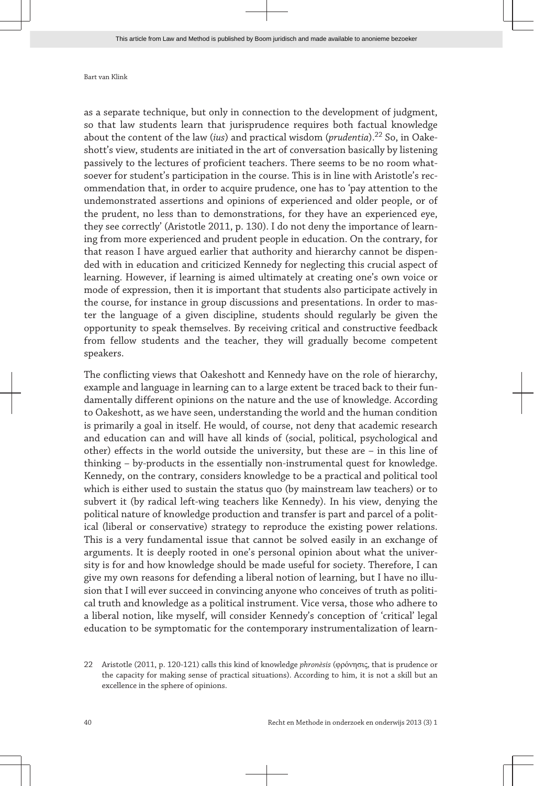as a separate technique, but only in connection to the development of judgment, so that law students learn that jurisprudence requires both factual knowledge about the content of the law (*ius*) and practical wisdom (*prudentia*).<sup>22</sup> So, in Oakeshott's view, students are initiated in the art of conversation basically by listening passively to the lectures of proficient teachers. There seems to be no room what‐ soever for student's participation in the course. This is in line with Aristotle's recommendation that, in order to acquire prudence, one has to 'pay attention to the undemonstrated assertions and opinions of experienced and older people, or of the prudent, no less than to demonstrations, for they have an experienced eye, they see correctly' (Aristotle 2011, p. 130). I do not deny the importance of learning from more experienced and prudent people in education. On the contrary, for that reason I have argued earlier that authority and hierarchy cannot be dispen‐ ded with in education and criticized Kennedy for neglecting this crucial aspect of learning. However, if learning is aimed ultimately at creating one's own voice or mode of expression, then it is important that students also participate actively in the course, for instance in group discussions and presentations. In order to master the language of a given discipline, students should regularly be given the opportunity to speak themselves. By receiving critical and constructive feedback from fellow students and the teacher, they will gradually become competent speakers.

The conflicting views that Oakeshott and Kennedy have on the role of hierarchy, example and language in learning can to a large extent be traced back to their fun‐ damentally different opinions on the nature and the use of knowledge. According to Oakeshott, as we have seen, understanding the world and the human condition is primarily a goal in itself. He would, of course, not deny that academic research and education can and will have all kinds of (social, political, psychological and other) effects in the world outside the university, but these are – in this line of thinking – by-products in the essentially non-instrumental quest for knowledge. Kennedy, on the contrary, considers knowledge to be a practical and political tool which is either used to sustain the status quo (by mainstream law teachers) or to subvert it (by radical left-wing teachers like Kennedy). In his view, denying the political nature of knowledge production and transfer is part and parcel of a political (liberal or conservative) strategy to reproduce the existing power relations. This is a very fundamental issue that cannot be solved easily in an exchange of arguments. It is deeply rooted in one's personal opinion about what the univer‐ sity is for and how knowledge should be made useful for society. Therefore, I can give my own reasons for defending a liberal notion of learning, but I have no illu‐ sion that I will ever succeed in convincing anyone who conceives of truth as political truth and knowledge as a political instrument. Vice versa, those who adhere to a liberal notion, like myself, will consider Kennedy's conception of 'critical' legal education to be symptomatic for the contemporary instrumentalization of learn-

<sup>22</sup> Aristotle (2011, p. 120-121) calls this kind of knowledge *phronèsis* (φρόνησις, that is prudence or the capacity for making sense of practical situations). According to him, it is not a skill but an excellence in the sphere of opinions.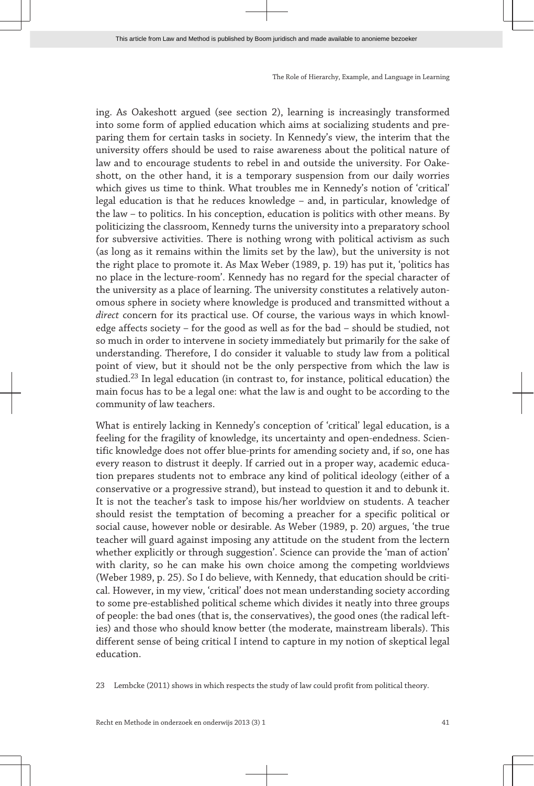ing. As Oakeshott argued (see section 2), learning is increasingly transformed into some form of applied education which aims at socializing students and pre‐ paring them for certain tasks in society. In Kennedy's view, the interim that the university offers should be used to raise awareness about the political nature of law and to encourage students to rebel in and outside the university. For Oake‐ shott, on the other hand, it is a temporary suspension from our daily worries which gives us time to think. What troubles me in Kennedy's notion of 'critical' legal education is that he reduces knowledge – and, in particular, knowledge of the law – to politics. In his conception, education is politics with other means. By politicizing the classroom, Kennedy turns the university into a preparatory school for subversive activities. There is nothing wrong with political activism as such (as long as it remains within the limits set by the law), but the university is not the right place to promote it. As Max Weber (1989, p. 19) has put it, 'politics has no place in the lecture-room'. Kennedy has no regard for the special character of the university as a place of learning. The university constitutes a relatively auton‐ omous sphere in society where knowledge is produced and transmitted without a *direct* concern for its practical use. Of course, the various ways in which knowl‐ edge affects society – for the good as well as for the bad – should be studied, not so much in order to intervene in society immediately but primarily for the sake of understanding. Therefore, I do consider it valuable to study law from a political point of view, but it should not be the only perspective from which the law is studied.<sup>23</sup> In legal education (in contrast to, for instance, political education) the main focus has to be a legal one: what the law is and ought to be according to the community of law teachers.

What is entirely lacking in Kennedy's conception of 'critical' legal education, is a feeling for the fragility of knowledge, its uncertainty and open-endedness. Scientific knowledge does not offer blue-prints for amending society and, if so, one has every reason to distrust it deeply. If carried out in a proper way, academic educa‐ tion prepares students not to embrace any kind of political ideology (either of a conservative or a progressive strand), but instead to question it and to debunk it. It is not the teacher's task to impose his/her worldview on students. A teacher should resist the temptation of becoming a preacher for a specific political or social cause, however noble or desirable. As Weber (1989, p. 20) argues, 'the true teacher will guard against imposing any attitude on the student from the lectern whether explicitly or through suggestion'. Science can provide the 'man of action' with clarity, so he can make his own choice among the competing worldviews (Weber 1989, p. 25). So I do believe, with Kennedy, that education should be criti‐ cal. However, in my view, 'critical' does not mean understanding society according to some pre-established political scheme which divides it neatly into three groups of people: the bad ones (that is, the conservatives), the good ones (the radical left‐ ies) and those who should know better (the moderate, mainstream liberals). This different sense of being critical I intend to capture in my notion of skeptical legal education.

23 Lembcke (2011) shows in which respects the study of law could profit from political theory.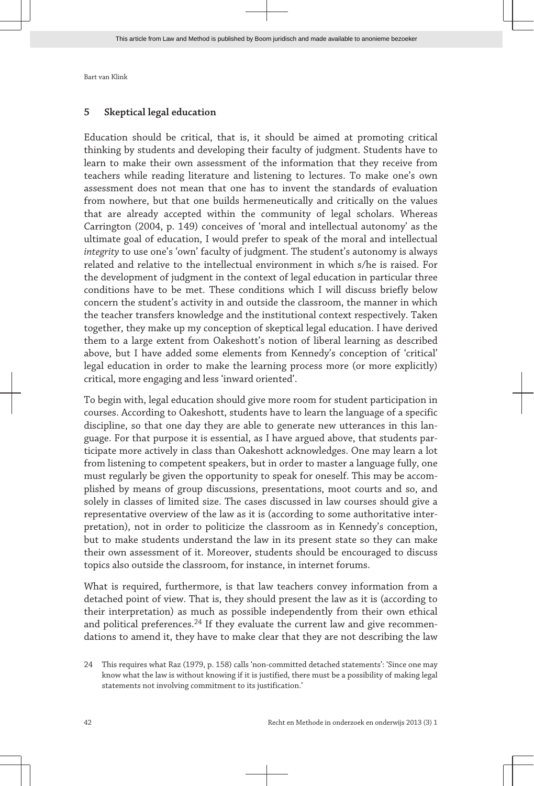### **5 Skeptical legal education**

Education should be critical, that is, it should be aimed at promoting critical thinking by students and developing their faculty of judgment. Students have to learn to make their own assessment of the information that they receive from teachers while reading literature and listening to lectures. To make one's own assessment does not mean that one has to invent the standards of evaluation from nowhere, but that one builds hermeneutically and critically on the values that are already accepted within the community of legal scholars. Whereas Carrington (2004, p. 149) conceives of 'moral and intellectual autonomy' as the ultimate goal of education, I would prefer to speak of the moral and intellectual *integrity* to use one's 'own' faculty of judgment. The student's autonomy is always related and relative to the intellectual environment in which s/he is raised. For the development of judgment in the context of legal education in particular three conditions have to be met. These conditions which I will discuss briefly below concern the student's activity in and outside the classroom, the manner in which the teacher transfers knowledge and the institutional context respectively. Taken together, they make up my conception of skeptical legal education. I have derived them to a large extent from Oakeshott's notion of liberal learning as described above, but I have added some elements from Kennedy's conception of 'critical' legal education in order to make the learning process more (or more explicitly) critical, more engaging and less 'inward oriented'.

To begin with, legal education should give more room for student participation in courses. According to Oakeshott, students have to learn the language of a specific discipline, so that one day they are able to generate new utterances in this language. For that purpose it is essential, as I have argued above, that students par‐ ticipate more actively in class than Oakeshott acknowledges. One may learn a lot from listening to competent speakers, but in order to master a language fully, one must regularly be given the opportunity to speak for oneself. This may be accom‐ plished by means of group discussions, presentations, moot courts and so, and solely in classes of limited size. The cases discussed in law courses should give a representative overview of the law as it is (according to some authoritative inter‐ pretation), not in order to politicize the classroom as in Kennedy's conception, but to make students understand the law in its present state so they can make their own assessment of it. Moreover, students should be encouraged to discuss topics also outside the classroom, for instance, in internet forums.

What is required, furthermore, is that law teachers convey information from a detached point of view. That is, they should present the law as it is (according to their interpretation) as much as possible independently from their own ethical and political preferences.<sup>24</sup> If they evaluate the current law and give recommendations to amend it, they have to make clear that they are not describing the law

<sup>24</sup> This requires what Raz (1979, p. 158) calls 'non-committed detached statements': 'Since one may know what the law is without knowing if it is justified, there must be a possibility of making legal statements not involving commitment to its justification.'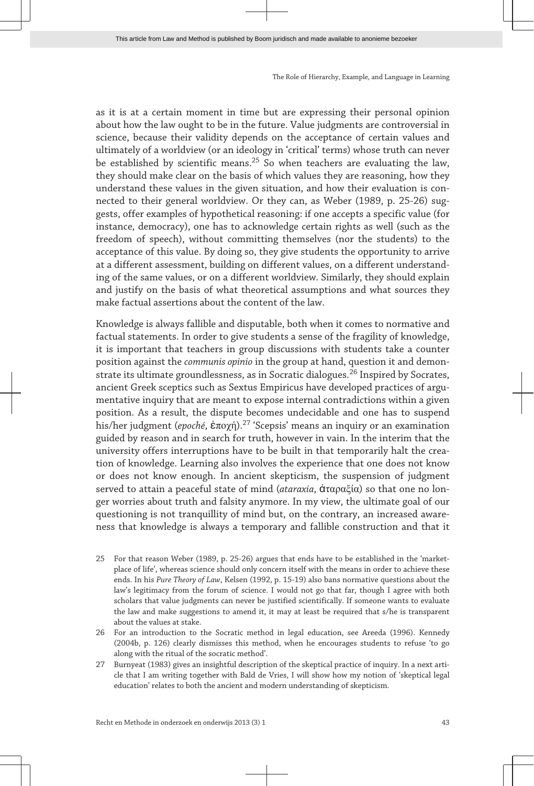as it is at a certain moment in time but are expressing their personal opinion about how the law ought to be in the future. Value judgments are controversial in science, because their validity depends on the acceptance of certain values and ultimately of a worldview (or an ideology in 'critical' terms) whose truth can never be established by scientific means.<sup>25</sup> So when teachers are evaluating the law, they should make clear on the basis of which values they are reasoning, how they understand these values in the given situation, and how their evaluation is connected to their general worldview. Or they can, as Weber (1989, p. 25-26) suggests, offer examples of hypothetical reasoning: if one accepts a specific value (for instance, democracy), one has to acknowledge certain rights as well (such as the freedom of speech), without committing themselves (nor the students) to the acceptance of this value. By doing so, they give students the opportunity to arrive at a different assessment, building on different values, on a different understand‐ ing of the same values, or on a different worldview. Similarly, they should explain and justify on the basis of what theoretical assumptions and what sources they make factual assertions about the content of the law.

Knowledge is always fallible and disputable, both when it comes to normative and factual statements. In order to give students a sense of the fragility of knowledge, it is important that teachers in group discussions with students take a counter position against the *communis opinio* in the group at hand, question it and demonstrate its ultimate groundlessness, as in Socratic dialogues.<sup>26</sup> Inspired by Socrates, ancient Greek sceptics such as Sextus Empiricus have developed practices of argu‐ mentative inquiry that are meant to expose internal contradictions within a given position. As a result, the dispute becomes undecidable and one has to suspend his/her judgment (*epoché*, ἐποχή).<sup>27</sup> 'Scepsis' means an inquiry or an examination guided by reason and in search for truth, however in vain. In the interim that the university offers interruptions have to be built in that temporarily halt the creation of knowledge. Learning also involves the experience that one does not know or does not know enough. In ancient skepticism, the suspension of judgment served to attain a peaceful state of mind (*ataraxia*, ἀταραξία) so that one no lon‐ ger worries about truth and falsity anymore. In my view, the ultimate goal of our questioning is not tranquillity of mind but, on the contrary, an increased aware‐ ness that knowledge is always a temporary and fallible construction and that it

- 25 For that reason Weber (1989, p. 25-26) argues that ends have to be established in the 'marketplace of life', whereas science should only concern itself with the means in order to achieve these ends. In his *Pure Theory of Law*, Kelsen (1992, p. 15-19) also bans normative questions about the law's legitimacy from the forum of science. I would not go that far, though I agree with both scholars that value judgments can never be justified scientifically. If someone wants to evaluate the law and make suggestions to amend it, it may at least be required that s/he is transparent about the values at stake.
- 26 For an introduction to the Socratic method in legal education, see Areeda (1996). Kennedy (2004b, p. 126) clearly dismisses this method, when he encourages students to refuse 'to go along with the ritual of the socratic method'.
- 27 Burnyeat (1983) gives an insightful description of the skeptical practice of inquiry. In a next article that I am writing together with Bald de Vries, I will show how my notion of 'skeptical legal education' relates to both the ancient and modern understanding of skepticism.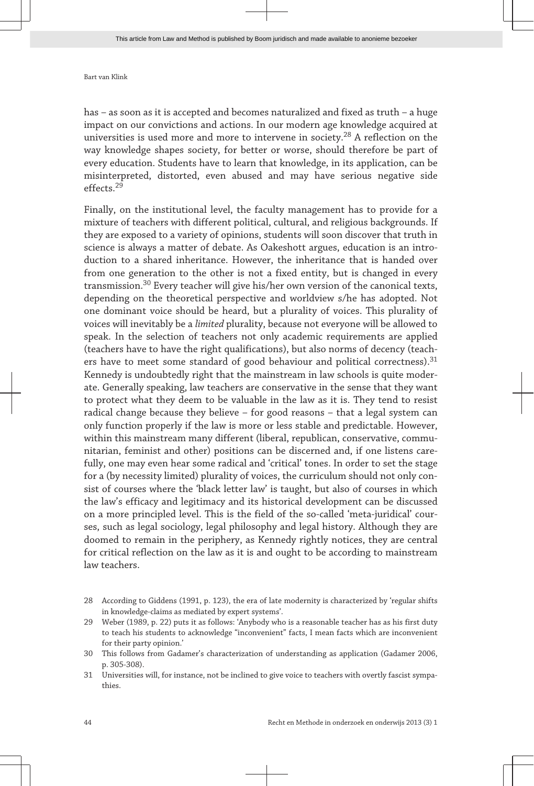has – as soon as it is accepted and becomes naturalized and fixed as truth – a huge impact on our convictions and actions. In our modern age knowledge acquired at universities is used more and more to intervene in society.<sup>28</sup> A reflection on the way knowledge shapes society, for better or worse, should therefore be part of every education. Students have to learn that knowledge, in its application, can be misinterpreted, distorted, even abused and may have serious negative side effects.<sup>29</sup>

Finally, on the institutional level, the faculty management has to provide for a mixture of teachers with different political, cultural, and religious backgrounds. If they are exposed to a variety of opinions, students will soon discover that truth in science is always a matter of debate. As Oakeshott argues, education is an introduction to a shared inheritance. However, the inheritance that is handed over from one generation to the other is not a fixed entity, but is changed in every transmission. $30$  Every teacher will give his/her own version of the canonical texts, depending on the theoretical perspective and worldview s/he has adopted. Not one dominant voice should be heard, but a plurality of voices. This plurality of voices will inevitably be a *limited* plurality, because not everyone will be allowed to speak. In the selection of teachers not only academic requirements are applied (teachers have to have the right qualifications), but also norms of decency (teach‐ ers have to meet some standard of good behaviour and political correctness).<sup>31</sup> Kennedy is undoubtedly right that the mainstream in law schools is quite moder‐ ate. Generally speaking, law teachers are conservative in the sense that they want to protect what they deem to be valuable in the law as it is. They tend to resist radical change because they believe – for good reasons – that a legal system can only function properly if the law is more or less stable and predictable. However, within this mainstream many different (liberal, republican, conservative, communitarian, feminist and other) positions can be discerned and, if one listens care‐ fully, one may even hear some radical and 'critical' tones. In order to set the stage for a (by necessity limited) plurality of voices, the curriculum should not only consist of courses where the 'black letter law' is taught, but also of courses in which the law's efficacy and legitimacy and its historical development can be discussed on a more principled level. This is the field of the so-called 'meta-juridical' cour‐ ses, such as legal sociology, legal philosophy and legal history. Although they are doomed to remain in the periphery, as Kennedy rightly notices, they are central for critical reflection on the law as it is and ought to be according to mainstream law teachers.

<sup>28</sup> According to Giddens (1991, p. 123), the era of late modernity is characterized by 'regular shifts in knowledge-claims as mediated by expert systems'.

<sup>29</sup> Weber (1989, p. 22) puts it as follows: 'Anybody who is a reasonable teacher has as his first duty to teach his students to acknowledge "inconvenient" facts, I mean facts which are inconvenient for their party opinion.'

<sup>30</sup> This follows from Gadamer's characterization of understanding as application (Gadamer 2006, p. 305-308).

<sup>31</sup> Universities will, for instance, not be inclined to give voice to teachers with overtly fascist sympa‐ thies.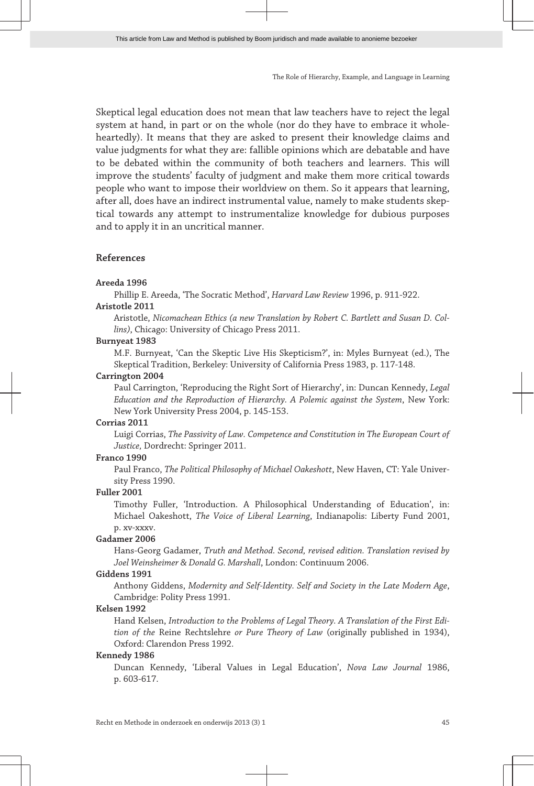Skeptical legal education does not mean that law teachers have to reject the legal system at hand, in part or on the whole (nor do they have to embrace it wholeheartedly). It means that they are asked to present their knowledge claims and value judgments for what they are: fallible opinions which are debatable and have to be debated within the community of both teachers and learners. This will improve the students' faculty of judgment and make them more critical towards people who want to impose their worldview on them. So it appears that learning, after all, does have an indirect instrumental value, namely to make students skeptical towards any attempt to instrumentalize knowledge for dubious purposes and to apply it in an uncritical manner.

### **References**

#### **Areeda 1996**

Phillip E. Areeda, 'The Socratic Method', *Harvard Law Review* 1996, p. 911-922.

### **Aristotle 2011**

Aristotle, *Nicomachean Ethics (a new Translation by Robert C. Bartlett and Susan D. Col‐ lins)*, Chicago: University of Chicago Press 2011.

#### **Burnyeat 1983**

M.F. Burnyeat, 'Can the Skeptic Live His Skepticism?', in: Myles Burnyeat (ed.), The Skeptical Tradition, Berkeley: University of California Press 1983, p. 117-148.

#### **Carrington 2004**

Paul Carrington, 'Reproducing the Right Sort of Hierarchy', in: Duncan Kennedy, *Legal Education and the Reproduction of Hierarchy. A Polemic against the System*, New York: New York University Press 2004, p. 145-153.

#### **Corrias 2011**

Luigi Corrias, *The Passivity of Law. Competence and Constitution in The European Court of Justice,* Dordrecht: Springer 2011.

#### **Franco 1990**

Paul Franco, *The Political Philosophy of Michael Oakeshott*, New Haven, CT: Yale Univer‐ sity Press 1990.

#### **Fuller 2001**

Timothy Fuller, 'Introduction. A Philosophical Understanding of Education', in: Michael Oakeshott, *The Voice of Liberal Learning*, Indianapolis: Liberty Fund 2001, p. xv-xxxv.

#### **Gadamer 2006**

Hans-Georg Gadamer, *Truth and Method. Second, revised edition. Translation revised by Joel Weinsheimer & Donald G. Marshall*, London: Continuum 2006.

#### **Giddens 1991**

Anthony Giddens, *Modernity and Self-Identity. Self and Society in the Late Modern Age*, Cambridge: Polity Press 1991.

#### **Kelsen 1992**

Hand Kelsen, *Introduction to the Problems of Legal Theory. A Translation of the First Edi‐ tion of the* Reine Rechtslehre *or Pure Theory of Law* (originally published in 1934), Oxford: Clarendon Press 1992.

#### **Kennedy 1986**

Duncan Kennedy, 'Liberal Values in Legal Education', *Nova Law Journal* 1986, p. 603-617.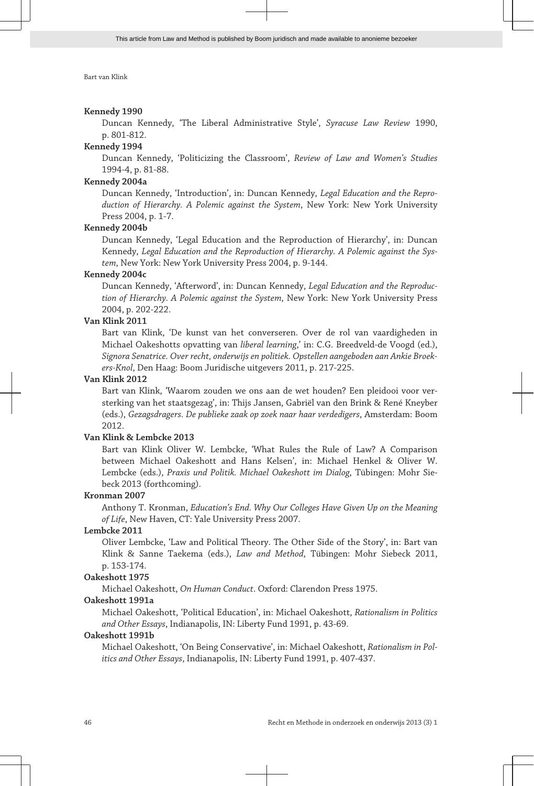#### **Kennedy 1990**

Duncan Kennedy, 'The Liberal Administrative Style', *Syracuse Law Review* 1990, p. 801-812.

#### **Kennedy 1994**

Duncan Kennedy, 'Politicizing the Classroom', *Review of Law and Women's Studies* 1994-4, p. 81-88.

#### **Kennedy 2004a**

Duncan Kennedy, 'Introduction', in: Duncan Kennedy, *Legal Education and the Repro‐ duction of Hierarchy. A Polemic against the System*, New York: New York University Press 2004, p. 1-7.

#### **Kennedy 2004b**

Duncan Kennedy, 'Legal Education and the Reproduction of Hierarchy', in: Duncan Kennedy, *Legal Education and the Reproduction of Hierarchy. A Polemic against the Sys‐ tem*, New York: New York University Press 2004, p. 9-144.

#### **Kennedy 2004c**

Duncan Kennedy, 'Afterword', in: Duncan Kennedy, *Legal Education and the Reproduc‐ tion of Hierarchy. A Polemic against the System*, New York: New York University Press 2004, p. 202-222.

#### **Van Klink 2011**

Bart van Klink, 'De kunst van het converseren. Over de rol van vaardigheden in Michael Oakeshotts opvatting van *liberal learning*,' in: C.G. Breedveld-de Voogd (ed.), *Signora Senatrice. Over recht, onderwijs en politiek. Opstellen aangeboden aan Ankie Broek‐ ers-Knol*, Den Haag: Boom Juridische uitgevers 2011, p. 217-225.

### **Van Klink 2012**

Bart van Klink, 'Waarom zouden we ons aan de wet houden? Een pleidooi voor ver‐ sterking van het staatsgezag', in: Thijs Jansen, Gabriël van den Brink & René Kneyber (eds.), *Gezagsdragers. De publieke zaak op zoek naar haar verdedigers*, Amsterdam: Boom 2012.

#### **Van Klink & Lembcke 2013**

Bart van Klink Oliver W. Lembcke, 'What Rules the Rule of Law? A Comparison between Michael Oakeshott and Hans Kelsen', in: Michael Henkel & Oliver W. Lembcke (eds.), *Praxis und Politik. Michael Oakeshott im Dialog*, Tübingen: Mohr Sie‐ beck 2013 (forthcoming).

#### **Kronman 2007**

Anthony T. Kronman, *Education's End. Why Our Colleges Have Given Up on the Meaning of Life*, New Haven, CT: Yale University Press 2007.

#### **Lembcke 2011**

Oliver Lembcke, 'Law and Political Theory. The Other Side of the Story', in: Bart van Klink & Sanne Taekema (eds.), *Law and Method*, Tübingen: Mohr Siebeck 2011, p. 153-174.

#### **Oakeshott 1975**

Michael Oakeshott, *On Human Conduct*. Oxford: Clarendon Press 1975.

#### **Oakeshott 1991a**

Michael Oakeshott, 'Political Education', in: Michael Oakeshott, *Rationalism in Politics and Other Essays*, Indianapolis, IN: Liberty Fund 1991, p. 43-69.

#### **Oakeshott 1991b**

Michael Oakeshott, 'On Being Conservative', in: Michael Oakeshott, *Rationalism in Pol‐ itics and Other Essays*, Indianapolis, IN: Liberty Fund 1991, p. 407-437.